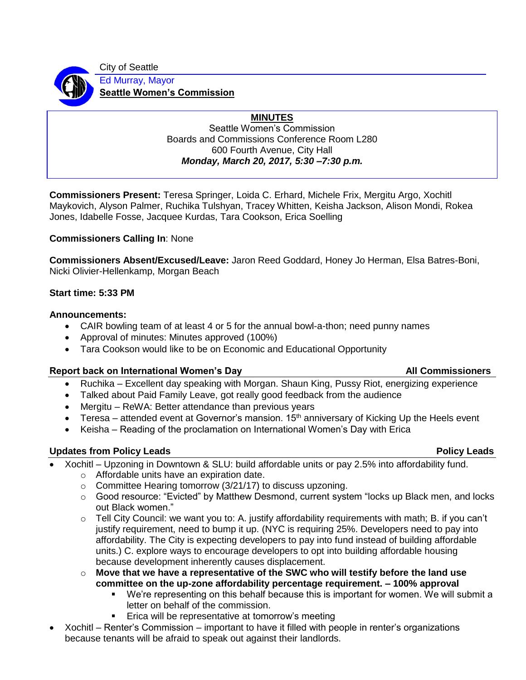City of Seattle



Ed Murray, Mayor **Seattle Women's Commission**

# **MINUTES**

Seattle Women's Commission Boards and Commissions Conference Room L280 600 Fourth Avenue, City Hall *Monday, March 20, 2017, 5:30 –7:30 p.m.*

**Commissioners Present:** Teresa Springer, Loida C. Erhard, Michele Frix, Mergitu Argo, Xochitl Maykovich, Alyson Palmer, Ruchika Tulshyan, Tracey Whitten, Keisha Jackson, Alison Mondi, Rokea Jones, Idabelle Fosse, Jacquee Kurdas, Tara Cookson, Erica Soelling

# **Commissioners Calling In**: None

**Commissioners Absent/Excused/Leave:** Jaron Reed Goddard, Honey Jo Herman, Elsa Batres-Boni, Nicki Olivier-Hellenkamp, Morgan Beach

## **Start time: 5:33 PM**

## **Announcements:**

- CAIR bowling team of at least 4 or 5 for the annual bowl-a-thon; need punny names
- Approval of minutes: Minutes approved (100%)
- Tara Cookson would like to be on Economic and Educational Opportunity

## **Report back on International Women's Day All Commissioners Commissioners All Commissioners**

- Ruchika Excellent day speaking with Morgan. Shaun King, Pussy Riot, energizing experience
- Talked about Paid Family Leave, got really good feedback from the audience
- Mergitu ReWA: Better attendance than previous years
- Teresa attended event at Governor's mansion.  $15<sup>th</sup>$  anniversary of Kicking Up the Heels event
- Keisha Reading of the proclamation on International Women's Day with Erica

# **Updates from Policy Leads Policy Leads**

# • Xochitl – Upzoning in Downtown & SLU: build affordable units or pay 2.5% into affordability fund.

- o Affordable units have an expiration date.
- $\circ$  Committee Hearing tomorrow (3/21/17) to discuss upzoning.
- $\circ$  Good resource: "Evicted" by Matthew Desmond, current system "locks up Black men, and locks out Black women."
- $\circ$  Tell City Council: we want you to: A. justify affordability requirements with math; B. if you can't justify requirement, need to bump it up. (NYC is requiring 25%. Developers need to pay into affordability. The City is expecting developers to pay into fund instead of building affordable units.) C. explore ways to encourage developers to opt into building affordable housing because development inherently causes displacement.
- o **Move that we have a representative of the SWC who will testify before the land use committee on the up-zone affordability percentage requirement. – 100% approval**
	- We're representing on this behalf because this is important for women. We will submit a letter on behalf of the commission.
	- Erica will be representative at tomorrow's meeting
- Xochitl Renter's Commission important to have it filled with people in renter's organizations because tenants will be afraid to speak out against their landlords.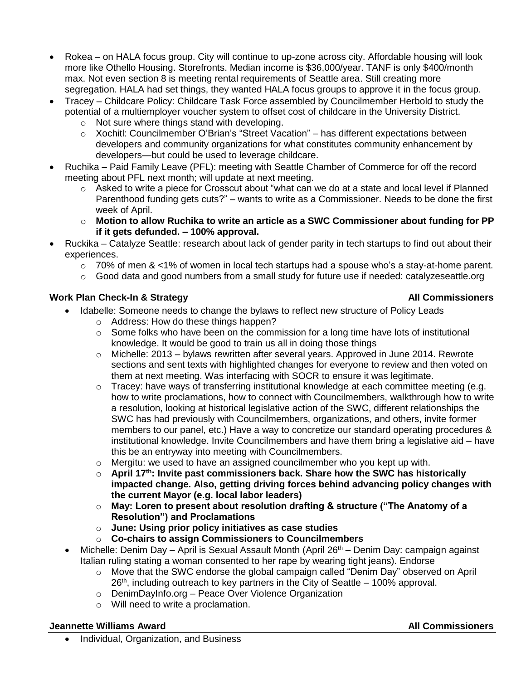- Rokea on HALA focus group. City will continue to up-zone across city. Affordable housing will look more like Othello Housing. Storefronts. Median income is \$36,000/year. TANF is only \$400/month max. Not even section 8 is meeting rental requirements of Seattle area. Still creating more segregation. HALA had set things, they wanted HALA focus groups to approve it in the focus group.
- Tracey Childcare Policy: Childcare Task Force assembled by Councilmember Herbold to study the potential of a multiemployer voucher system to offset cost of childcare in the University District.
	- o Not sure where things stand with developing.
	- $\circ$  Xochitl: Councilmember O'Brian's "Street Vacation" has different expectations between developers and community organizations for what constitutes community enhancement by developers—but could be used to leverage childcare.
- Ruchika Paid Family Leave (PFL): meeting with Seattle Chamber of Commerce for off the record meeting about PFL next month; will update at next meeting.
	- o Asked to write a piece for Crosscut about "what can we do at a state and local level if Planned Parenthood funding gets cuts?" – wants to write as a Commissioner. Needs to be done the first week of April.
	- o **Motion to allow Ruchika to write an article as a SWC Commissioner about funding for PP if it gets defunded. – 100% approval.**
- Ruckika Catalyze Seattle: research about lack of gender parity in tech startups to find out about their experiences.
	- $\circ$  70% of men & <1% of women in local tech startups had a spouse who's a stay-at-home parent.
	- o Good data and good numbers from a small study for future use if needed: catalyzeseattle.org

## Work Plan Check-In & Strategy **All Commissioners** All Commissioners

- Idabelle: Someone needs to change the bylaws to reflect new structure of Policy Leads
	- o Address: How do these things happen?
	- $\circ$  Some folks who have been on the commission for a long time have lots of institutional knowledge. It would be good to train us all in doing those things
	- o Michelle: 2013 bylaws rewritten after several years. Approved in June 2014. Rewrote sections and sent texts with highlighted changes for everyone to review and then voted on them at next meeting. Was interfacing with SOCR to ensure it was legitimate.
	- o Tracey: have ways of transferring institutional knowledge at each committee meeting (e.g. how to write proclamations, how to connect with Councilmembers, walkthrough how to write a resolution, looking at historical legislative action of the SWC, different relationships the SWC has had previously with Councilmembers, organizations, and others, invite former members to our panel, etc.) Have a way to concretize our standard operating procedures & institutional knowledge. Invite Councilmembers and have them bring a legislative aid – have this be an entryway into meeting with Councilmembers.
	- o Mergitu: we used to have an assigned councilmember who you kept up with.
	- o **April 17th: Invite past commissioners back. Share how the SWC has historically impacted change. Also, getting driving forces behind advancing policy changes with the current Mayor (e.g. local labor leaders)**
	- o **May: Loren to present about resolution drafting & structure ("The Anatomy of a Resolution") and Proclamations**
	- o **June: Using prior policy initiatives as case studies**
	- o **Co-chairs to assign Commissioners to Councilmembers**
- Michelle: Denim Day April is Sexual Assault Month (April  $26<sup>th</sup>$  Denim Day: campaign against Italian ruling stating a woman consented to her rape by wearing tight jeans). Endorse
	- o Move that the SWC endorse the global campaign called "Denim Day" observed on April  $26<sup>th</sup>$ , including outreach to key partners in the City of Seattle  $-100\%$  approval.
	- o DenimDayInfo.org Peace Over Violence Organization
	- o Will need to write a proclamation.

## **Jeannette Williams Award All Commissioners**

• Individual, Organization, and Business